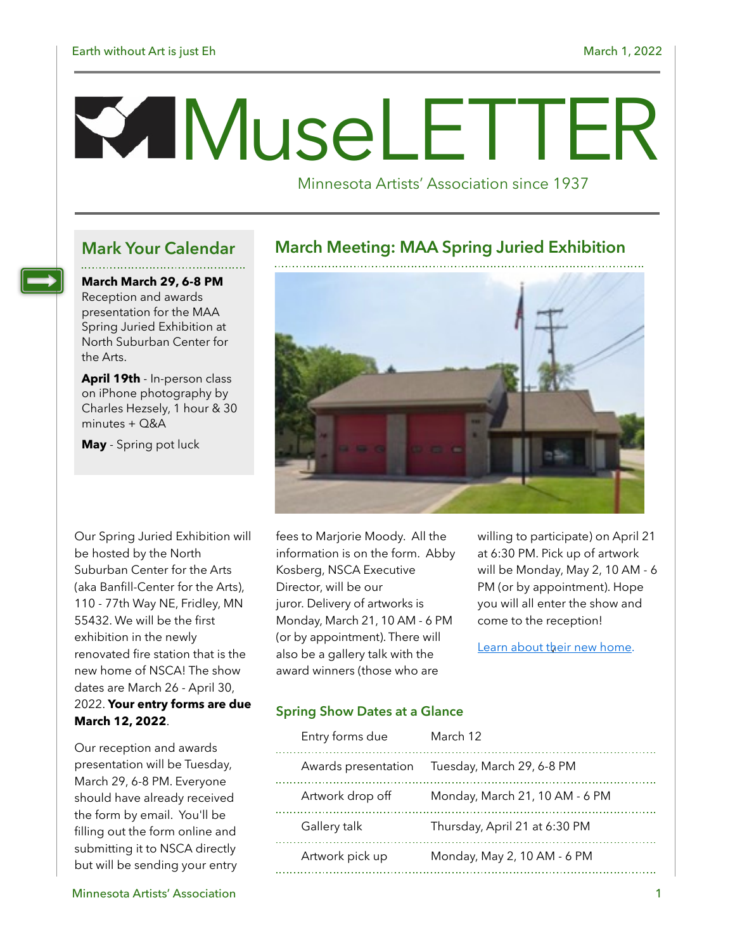# M useLETTER

Minnesota Artists' Association since 1937

**March March 29, 6-8 PM** Reception and awards presentation for the MAA Spring Juried Exhibition at North Suburban Center for

**April 19th** - In-person class on iPhone photography by Charles Hezsely, 1 hour & 30 minutes + Q&A

**May** - Spring pot luck

the Arts.

Our Spring Juried Exhibition will be hosted by the North Suburban Center for the Arts (aka Banfill-Center for the Arts), 110 - 77th Way NE, Fridley, MN 55432. We will be the first exhibition in the newly renovated fire station that is the new home of NSCA! The show dates are March 26 - April 30, 2022. **Your entry forms are due March 12, 2022**.

Our reception and awards presentation will be Tuesday, March 29, 6-8 PM. Everyone should have already received the form by email. You'll be filling out the form online and submitting it to NSCA directly but will be sending your entry

#### **Mark Your Calendar March Meeting: MAA Spring Juried Exhibition**



fees to Marjorie Moody. All the information is on the form. Abby Kosberg, NSCA Executive Director, will be our juror. Delivery of artworks is Monday, March 21, 10 AM - 6 PM (or by appointment). There will also be a gallery talk with the award winners (those who are

willing to participate) on April 21 at 6:30 PM. Pick up of artwork will be Monday, May 2, 10 AM - 6 PM (or by appointment). Hope you will all enter the show and come to the reception!

[Learn about their new home](https://www.northsuburbanarts.org/new-home).

#### **Spring Show Dates at a Glance**

| Entry forms due  | March 12                                      |
|------------------|-----------------------------------------------|
|                  | Awards presentation Tuesday, March 29, 6-8 PM |
| Artwork drop off | Monday, March 21, 10 AM - 6 PM                |
| Gallery talk     | Thursday, April 21 at 6:30 PM                 |
| Artwork pick up  | Monday, May 2, 10 AM - 6 PM                   |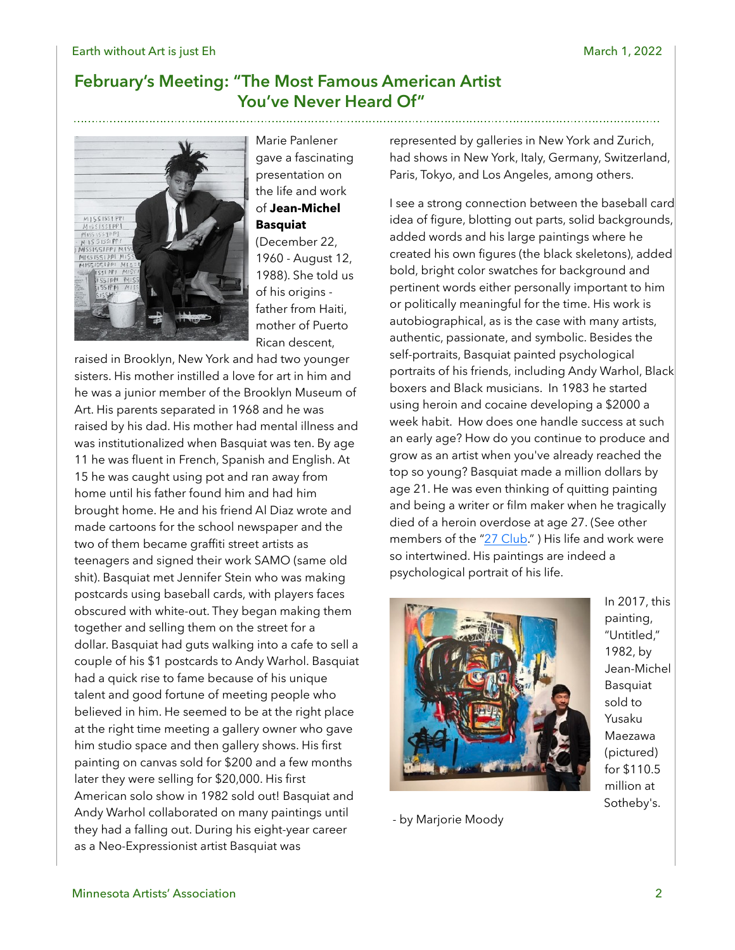#### **February's Meeting: "The Most Famous American Artist You've Never Heard Of"**



Marie Panlener gave a fascinating presentation on the life and work of **Jean-Michel Basquiat**  (December 22,

1960 - August 12, 1988). She told us of his origins father from Haiti, mother of Puerto Rican descent,

raised in Brooklyn, New York and had two younger sisters. His mother instilled a love for art in him and he was a junior member of the Brooklyn Museum of Art. His parents separated in 1968 and he was raised by his dad. His mother had mental illness and was institutionalized when Basquiat was ten. By age 11 he was fluent in French, Spanish and English. At 15 he was caught using pot and ran away from home until his father found him and had him brought home. He and his friend Al Diaz wrote and made cartoons for the school newspaper and the two of them became graffiti street artists as teenagers and signed their work SAMO (same old shit). Basquiat met Jennifer Stein who was making postcards using baseball cards, with players faces obscured with white-out. They began making them together and selling them on the street for a dollar. Basquiat had guts walking into a cafe to sell a couple of his \$1 postcards to Andy Warhol. Basquiat had a quick rise to fame because of his unique talent and good fortune of meeting people who believed in him. He seemed to be at the right place at the right time meeting a gallery owner who gave him studio space and then gallery shows. His first painting on canvas sold for \$200 and a few months later they were selling for \$20,000. His first American solo show in 1982 sold out! Basquiat and Andy Warhol collaborated on many paintings until they had a falling out. During his eight-year career as a Neo-Expressionist artist Basquiat was

represented by galleries in New York and Zurich, had shows in New York, Italy, Germany, Switzerland, Paris, Tokyo, and Los Angeles, among others.

I see a strong connection between the baseball card idea of figure, blotting out parts, solid backgrounds, added words and his large paintings where he created his own figures (the black skeletons), added bold, bright color swatches for background and pertinent words either personally important to him or politically meaningful for the time. His work is autobiographical, as is the case with many artists, authentic, passionate, and symbolic. Besides the self-portraits, Basquiat painted psychological portraits of his friends, including Andy Warhol, Black boxers and Black musicians. In 1983 he started using heroin and cocaine developing a \$2000 a week habit. How does one handle success at such an early age? How do you continue to produce and grow as an artist when you've already reached the top so young? Basquiat made a million dollars by age 21. He was even thinking of quitting painting and being a writer or film maker when he tragically died of a heroin overdose at age 27. (See other members of the "[27 Club.](https://www.grunge.com/23227/long-list-stars-died-age-27/)" ) His life and work were so intertwined. His paintings are indeed a psychological portrait of his life.



- by Marjorie Moody

In 2017, this painting, "Untitled," 1982, by Jean-Michel Basquiat sold to Yusaku Maezawa (pictured) for \$110.5 million at Sotheby's.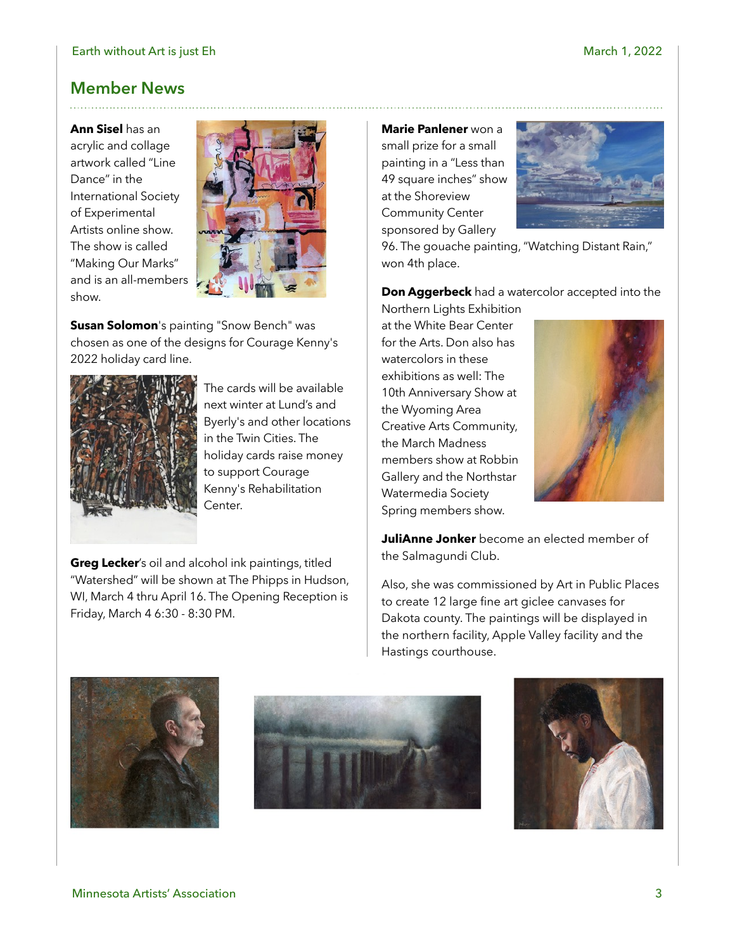#### **Member News**

**Ann Sisel** has an acrylic and collage artwork called "Line Dance" in the International Society of Experimental Artists online show. The show is called "Making Our Marks" and is an all-members show.



**Susan Solomon**'s painting "Snow Bench" was chosen as one of the designs for Courage Kenny's 2022 holiday card line.



The cards will be available next winter at Lund's and Byerly's and other locations in the Twin Cities. The holiday cards raise money to support Courage Kenny's Rehabilitation Center.

**Greg Lecker**'s oil and alcohol ink paintings, titled "Watershed" will be shown at The Phipps in Hudson, WI, March 4 thru April 16. The Opening Reception is Friday, March 4 6:30 - 8:30 PM.

**Marie Panlener** won a small prize for a small painting in a "Less than 49 square inches" show at the Shoreview Community Center sponsored by Gallery



96. The gouache painting, "Watching Distant Rain," won 4th place.

**Don Aggerbeck** had a watercolor accepted into the

Northern Lights Exhibition at the White Bear Center for the Arts. Don also has watercolors in these exhibitions as well: The 10th Anniversary Show at the Wyoming Area Creative Arts Community, the March Madness members show at Robbin Gallery and the Northstar Watermedia Society Spring members show.



**JuliAnne Jonker** become an elected member of the Salmagundi Club.

Also, she was commissioned by Art in Public Places to create 12 large fine art giclee canvases for Dakota county. The paintings will be displayed in the northern facility, Apple Valley facility and the Hastings courthouse.